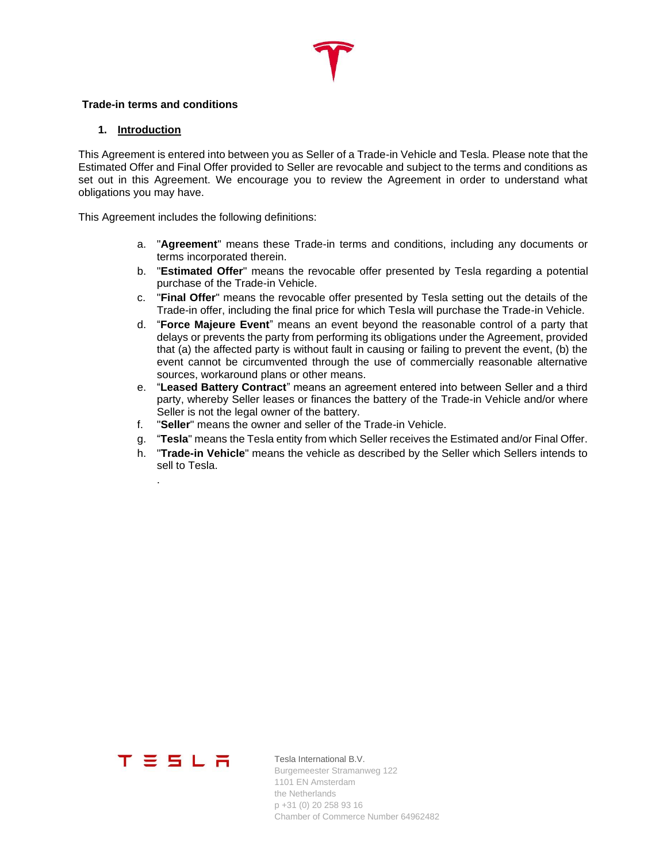#### **Trade-in terms and conditions**

#### **1. Introduction**

This Agreement is entered into between you as Seller of a Trade-in Vehicle and Tesla. Please note that the Estimated Offer and Final Offer provided to Seller are revocable and subject to the terms and conditions as set out in this Agreement. We encourage you to review the Agreement in order to understand what obligations you may have.

This Agreement includes the following definitions:

- a. "**Agreement**" means these Trade-in terms and conditions, including any documents or terms incorporated therein.
- b. "**Estimated Offer**" means the revocable offer presented by Tesla regarding a potential purchase of the Trade-in Vehicle.
- c. "**Final Offer**" means the revocable offer presented by Tesla setting out the details of the Trade-in offer, including the final price for which Tesla will purchase the Trade-in Vehicle.
- d. "**Force Majeure Event**" means an event beyond the reasonable control of a party that delays or prevents the party from performing its obligations under the Agreement, provided that (a) the affected party is without fault in causing or failing to prevent the event, (b) the event cannot be circumvented through the use of commercially reasonable alternative sources, workaround plans or other means.
- e. "**Leased Battery Contract**" means an agreement entered into between Seller and a third party, whereby Seller leases or finances the battery of the Trade-in Vehicle and/or where Seller is not the legal owner of the battery.
- f. "**Seller**" means the owner and seller of the Trade-in Vehicle.
- g. "**Tesla**" means the Tesla entity from which Seller receives the Estimated and/or Final Offer.
- h. "**Trade-in Vehicle**" means the vehicle as described by the Seller which Sellers intends to sell to Tesla.

## エミミレニ

.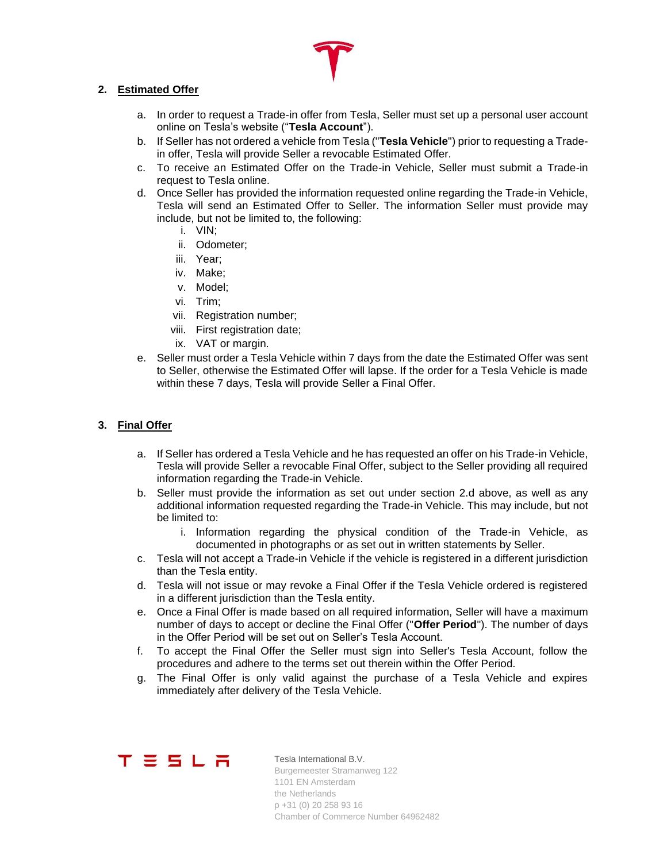### **2. Estimated Offer**

- a. In order to request a Trade-in offer from Tesla, Seller must set up a personal user account online on Tesla's website ("**Tesla Account**").
- b. If Seller has not ordered a vehicle from Tesla ("**Tesla Vehicle**") prior to requesting a Tradein offer, Tesla will provide Seller a revocable Estimated Offer.
- c. To receive an Estimated Offer on the Trade-in Vehicle, Seller must submit a Trade-in request to Tesla online.
- <span id="page-1-0"></span>d. Once Seller has provided the information requested online regarding the Trade-in Vehicle, Tesla will send an Estimated Offer to Seller. The information Seller must provide may include, but not be limited to, the following:
	- i. VIN;
	- ii. Odometer;
	- iii. Year;
	- iv. Make;
	- v. Model;
	- vi. Trim;
	- vii. Registration number;
	- viii. First registration date;
	- ix. VAT or margin.
- e. Seller must order a Tesla Vehicle within 7 days from the date the Estimated Offer was sent to Seller, otherwise the Estimated Offer will lapse. If the order for a Tesla Vehicle is made within these 7 days, Tesla will provide Seller a Final Offer.

#### <span id="page-1-2"></span>**3. Final Offer**

- a. If Seller has ordered a Tesla Vehicle and he has requested an offer on his Trade-in Vehicle, Tesla will provide Seller a revocable Final Offer, subject to the Seller providing all required information regarding the Trade-in Vehicle.
- <span id="page-1-1"></span>b. Seller must provide the information as set out under section [2.d](#page-1-0) above, as well as any additional information requested regarding the Trade-in Vehicle. This may include, but not be limited to:
	- i. Information regarding the physical condition of the Trade-in Vehicle, as documented in photographs or as set out in written statements by Seller.
- c. Tesla will not accept a Trade-in Vehicle if the vehicle is registered in a different jurisdiction than the Tesla entity.
- d. Tesla will not issue or may revoke a Final Offer if the Tesla Vehicle ordered is registered in a different jurisdiction than the Tesla entity.
- e. Once a Final Offer is made based on all required information, Seller will have a maximum number of days to accept or decline the Final Offer ("**Offer Period**"). The number of days in the Offer Period will be set out on Seller's Tesla Account.
- f. To accept the Final Offer the Seller must sign into Seller's Tesla Account, follow the procedures and adhere to the terms set out therein within the Offer Period.
- g. The Final Offer is only valid against the purchase of a Tesla Vehicle and expires immediately after delivery of the Tesla Vehicle.

# エミミレニ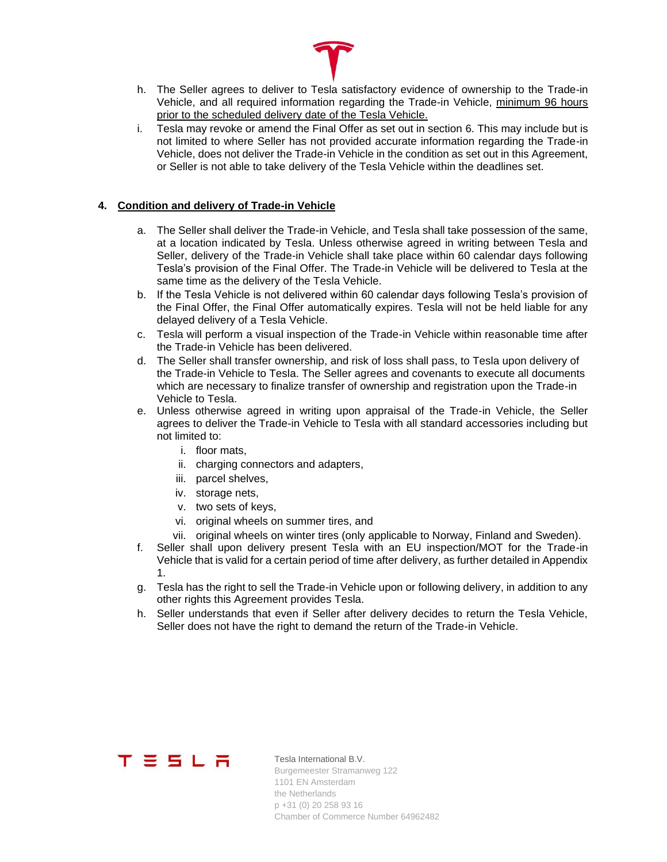- h. The Seller agrees to deliver to Tesla satisfactory evidence of ownership to the Trade-in Vehicle, and all required information regarding the Trade-in Vehicle, minimum 96 hours prior to the scheduled delivery date of the Tesla Vehicle.
- i. Tesla may revoke or amend the Final Offer as set out in section [6.](#page-3-0) This may include but is not limited to where Seller has not provided accurate information regarding the Trade-in Vehicle, does not deliver the Trade-in Vehicle in the condition as set out in this Agreement, or Seller is not able to take delivery of the Tesla Vehicle within the deadlines set.

### <span id="page-2-0"></span>**4. Condition and delivery of Trade-in Vehicle**

- a. The Seller shall deliver the Trade-in Vehicle, and Tesla shall take possession of the same, at a location indicated by Tesla. Unless otherwise agreed in writing between Tesla and Seller, delivery of the Trade-in Vehicle shall take place within 60 calendar days following Tesla's provision of the Final Offer. The Trade-in Vehicle will be delivered to Tesla at the same time as the delivery of the Tesla Vehicle.
- b. If the Tesla Vehicle is not delivered within 60 calendar days following Tesla's provision of the Final Offer, the Final Offer automatically expires. Tesla will not be held liable for any delayed delivery of a Tesla Vehicle.
- c. Tesla will perform a visual inspection of the Trade-in Vehicle within reasonable time after the Trade-in Vehicle has been delivered.
- d. The Seller shall transfer ownership, and risk of loss shall pass, to Tesla upon delivery of the Trade-in Vehicle to Tesla. The Seller agrees and covenants to execute all documents which are necessary to finalize transfer of ownership and registration upon the Trade-in Vehicle to Tesla.
- e. Unless otherwise agreed in writing upon appraisal of the Trade-in Vehicle, the Seller agrees to deliver the Trade-in Vehicle to Tesla with all standard accessories including but not limited to:
	- i. floor mats,
	- ii. charging connectors and adapters,
	- iii. parcel shelves,
	- iv. storage nets,
	- v. two sets of keys,
	- vi. original wheels on summer tires, and
	- vii. original wheels on winter tires (only applicable to Norway, Finland and Sweden).
- f. Seller shall upon delivery present Tesla with an EU inspection/MOT for the Trade-in Vehicle that is valid for a certain period of time after delivery, as further detailed in Appendix 1.
- g. Tesla has the right to sell the Trade-in Vehicle upon or following delivery, in addition to any other rights this Agreement provides Tesla.
- h. Seller understands that even if Seller after delivery decides to return the Tesla Vehicle, Seller does not have the right to demand the return of the Trade-in Vehicle.

# T ミ S L 吊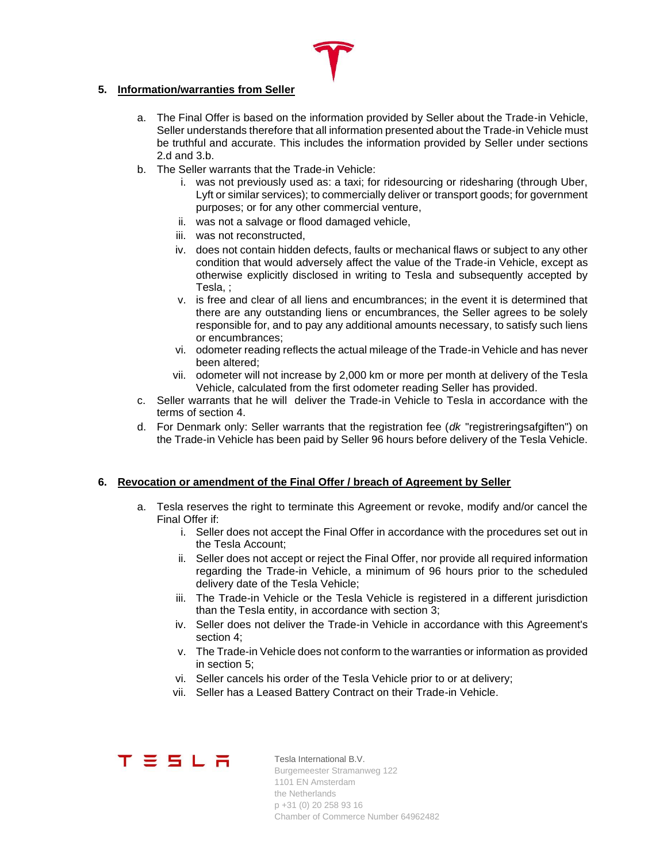

### <span id="page-3-1"></span>**5. Information/warranties from Seller**

- a. The Final Offer is based on the information provided by Seller about the Trade-in Vehicle, Seller understands therefore that all information presented about the Trade-in Vehicle must be truthful and accurate. This includes the information provided by Seller under sections [2.d](#page-1-0) and [3.b.](#page-1-1)
- b. The Seller warrants that the Trade-in Vehicle:
	- i. was not previously used as: a taxi; for ridesourcing or ridesharing (through Uber, Lyft or similar services); to commercially deliver or transport goods; for government purposes; or for any other commercial venture,
	- ii. was not a salvage or flood damaged vehicle,
	- iii. was not reconstructed,
	- iv. does not contain hidden defects, faults or mechanical flaws or subject to any other condition that would adversely affect the value of the Trade-in Vehicle, except as otherwise explicitly disclosed in writing to Tesla and subsequently accepted by Tesla, ;
	- v. is free and clear of all liens and encumbrances; in the event it is determined that there are any outstanding liens or encumbrances, the Seller agrees to be solely responsible for, and to pay any additional amounts necessary, to satisfy such liens or encumbrances;
	- vi. odometer reading reflects the actual mileage of the Trade-in Vehicle and has never been altered;
	- vii. odometer will not increase by 2,000 km or more per month at delivery of the Tesla Vehicle, calculated from the first odometer reading Seller has provided.
- c. Seller warrants that he will deliver the Trade-in Vehicle to Tesla in accordance with the terms of section [4.](#page-2-0)
- d. For Denmark only: Seller warrants that the registration fee (*dk* "registreringsafgiften") on the Trade-in Vehicle has been paid by Seller 96 hours before delivery of the Tesla Vehicle.

### <span id="page-3-0"></span>**6. Revocation or amendment of the Final Offer / breach of Agreement by Seller**

- a. Tesla reserves the right to terminate this Agreement or revoke, modify and/or cancel the Final Offer if:
	- i. Seller does not accept the Final Offer in accordance with the procedures set out in the Tesla Account;
	- ii. Seller does not accept or reject the Final Offer, nor provide all required information regarding the Trade-in Vehicle, a minimum of 96 hours prior to the scheduled delivery date of the Tesla Vehicle;
	- iii. The Trade-in Vehicle or the Tesla Vehicle is registered in a different jurisdiction than the Tesla entity, in accordance with section [3;](#page-1-2)
	- iv. Seller does not deliver the Trade-in Vehicle in accordance with this Agreement's section [4;](#page-2-0)
	- v. The Trade-in Vehicle does not conform to the warranties or information as provided in section [5;](#page-3-1)
	- vi. Seller cancels his order of the Tesla Vehicle prior to or at delivery;
	- vii. Seller has a Leased Battery Contract on their Trade-in Vehicle.

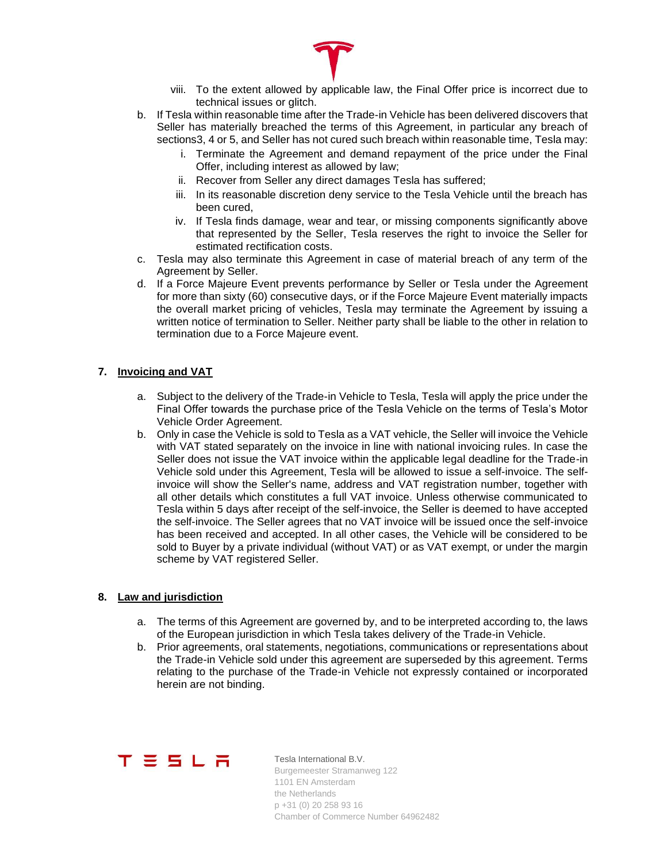

- viii. To the extent allowed by applicable law, the Final Offer price is incorrect due to technical issues or glitch.
- b. If Tesla within reasonable time after the Trade-in Vehicle has been delivered discovers that Seller has materially breached the terms of this Agreement, in particular any breach of section[s3,](#page-1-2) [4](#page-2-0) o[r 5,](#page-3-1) and Seller has not cured such breach within reasonable time, Tesla may:
	- i. Terminate the Agreement and demand repayment of the price under the Final Offer, including interest as allowed by law;
	- ii. Recover from Seller any direct damages Tesla has suffered;
	- iii. In its reasonable discretion deny service to the Tesla Vehicle until the breach has been cured,
	- iv. If Tesla finds damage, wear and tear, or missing components significantly above that represented by the Seller, Tesla reserves the right to invoice the Seller for estimated rectification costs.
- c. Tesla may also terminate this Agreement in case of material breach of any term of the Agreement by Seller.
- d. If a Force Majeure Event prevents performance by Seller or Tesla under the Agreement for more than sixty (60) consecutive days, or if the Force Majeure Event materially impacts the overall market pricing of vehicles, Tesla may terminate the Agreement by issuing a written notice of termination to Seller. Neither party shall be liable to the other in relation to termination due to a Force Majeure event.

### **7. Invoicing and VAT**

- a. Subject to the delivery of the Trade-in Vehicle to Tesla, Tesla will apply the price under the Final Offer towards the purchase price of the Tesla Vehicle on the terms of Tesla's Motor Vehicle Order Agreement.
- b. Only in case the Vehicle is sold to Tesla as a VAT vehicle, the Seller will invoice the Vehicle with VAT stated separately on the invoice in line with national invoicing rules. In case the Seller does not issue the VAT invoice within the applicable legal deadline for the Trade-in Vehicle sold under this Agreement, Tesla will be allowed to issue a self-invoice. The selfinvoice will show the Seller's name, address and VAT registration number, together with all other details which constitutes a full VAT invoice. Unless otherwise communicated to Tesla within 5 days after receipt of the self-invoice, the Seller is deemed to have accepted the self-invoice. The Seller agrees that no VAT invoice will be issued once the self-invoice has been received and accepted. In all other cases, the Vehicle will be considered to be sold to Buyer by a private individual (without VAT) or as VAT exempt, or under the margin scheme by VAT registered Seller.

### **8. Law and jurisdiction**

- a. The terms of this Agreement are governed by, and to be interpreted according to, the laws of the European jurisdiction in which Tesla takes delivery of the Trade-in Vehicle.
- b. Prior agreements, oral statements, negotiations, communications or representations about the Trade-in Vehicle sold under this agreement are superseded by this agreement. Terms relating to the purchase of the Trade-in Vehicle not expressly contained or incorporated herein are not binding.



Tesla International B.V. Burgemeester Stramanweg 122

1101 EN Amsterdam the Netherlands p +31 (0) 20 258 93 16 Chamber of Commerce Number 64962482